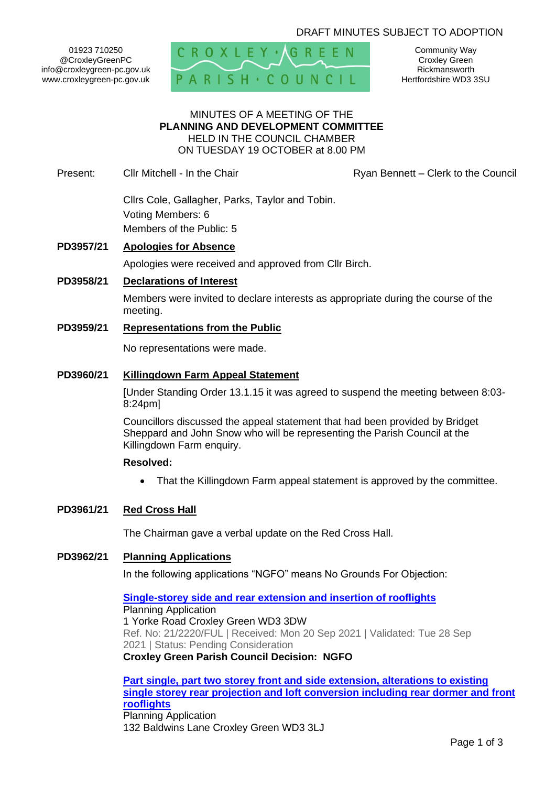## DRAFT MINUTES SUBJECT TO ADOPTION

01923 710250 @CroxleyGreenPC info@croxleygreen-pc.gov.uk www.croxleygreen-pc.gov.uk



Community Way Croxley Green Rickmansworth Hertfordshire WD3 3SU

### MINUTES OF A MEETING OF THE **PLANNING AND DEVELOPMENT COMMITTEE** HELD IN THE COUNCIL CHAMBER ON TUESDAY 19 OCTOBER at 8.00 PM

Present: Cllr Mitchell - In the Chair **Ryan Bennett – Clerk to the Council** 

Cllrs Cole, Gallagher, Parks, Taylor and Tobin. Voting Members: 6 Members of the Public: 5

### **PD3957/21 Apologies for Absence**

Apologies were received and approved from Cllr Birch.

### **PD3958/21 Declarations of Interest**

Members were invited to declare interests as appropriate during the course of the meeting.

### **PD3959/21 Representations from the Public**

No representations were made.

### **PD3960/21 Killingdown Farm Appeal Statement**

[Under Standing Order 13.1.15 it was agreed to suspend the meeting between 8:03- 8:24pm]

Councillors discussed the appeal statement that had been provided by Bridget Sheppard and John Snow who will be representing the Parish Council at the Killingdown Farm enquiry.

#### **Resolved:**

• That the Killingdown Farm appeal statement is approved by the committee.

## **PD3961/21 Red Cross Hall**

The Chairman gave a verbal update on the Red Cross Hall.

# **PD3962/21 Planning Applications**

In the following applications "NGFO" means No Grounds For Objection:

**[Single-storey side and rear extension and insertion of rooflights](https://www3.threerivers.gov.uk/online-applications/applicationDetails.do?activeTab=summary&keyVal=QZMBI8QFHBH00&prevPage=inTray)** Planning Application 1 Yorke Road Croxley Green WD3 3DW Ref. No: 21/2220/FUL | Received: Mon 20 Sep 2021 | Validated: Tue 28 Sep 2021 | Status: Pending Consideration **Croxley Green Parish Council Decision: NGFO**

**[Part single, part two storey front and side extension, alterations to existing](https://www3.threerivers.gov.uk/online-applications/applicationDetails.do?activeTab=summary&keyVal=R04U89QFHEX00&prevPage=inTray)  [single storey rear projection and loft conversion including rear dormer and front](https://www3.threerivers.gov.uk/online-applications/applicationDetails.do?activeTab=summary&keyVal=R04U89QFHEX00&prevPage=inTray)  [rooflights](https://www3.threerivers.gov.uk/online-applications/applicationDetails.do?activeTab=summary&keyVal=R04U89QFHEX00&prevPage=inTray)** Planning Application 132 Baldwins Lane Croxley Green WD3 3LJ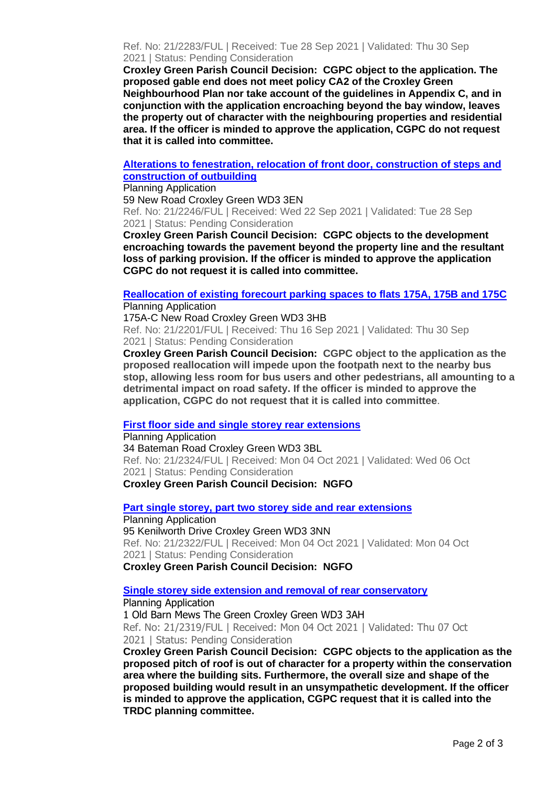Ref. No: 21/2283/FUL | Received: Tue 28 Sep 2021 | Validated: Thu 30 Sep 2021 | Status: Pending Consideration

**Croxley Green Parish Council Decision: CGPC object to the application. The proposed gable end does not meet policy CA2 of the Croxley Green Neighbourhood Plan nor take account of the guidelines in Appendix C, and in conjunction with the application encroaching beyond the bay window, leaves the property out of character with the neighbouring properties and residential area. If the officer is minded to approve the application, CGPC do not request that it is called into committee.**

### **[Alterations to fenestration, relocation of front door, construction of steps and](https://www3.threerivers.gov.uk/online-applications/applicationDetails.do?activeTab=summary&keyVal=QZTQ9WQFHD900&prevPage=inTray)  [construction of outbuilding](https://www3.threerivers.gov.uk/online-applications/applicationDetails.do?activeTab=summary&keyVal=QZTQ9WQFHD900&prevPage=inTray)**

Planning Application

59 New Road Croxley Green WD3 3EN Ref. No: 21/2246/FUL | Received: Wed 22 Sep 2021 | Validated: Tue 28 Sep 2021 | Status: Pending Consideration

**Croxley Green Parish Council Decision: CGPC objects to the development encroaching towards the pavement beyond the property line and the resultant loss of parking provision. If the officer is minded to approve the application CGPC do not request it is called into committee.**

#### **[Reallocation of existing forecourt parking spaces to flats 175A, 175B and 175C](https://www3.threerivers.gov.uk/online-applications/applicationDetails.do?activeTab=summary&keyVal=QZIM7AQFHA900&prevPage=inTray)** Planning Application

175A-C New Road Croxley Green WD3 3HB Ref. No: 21/2201/FUL | Received: Thu 16 Sep 2021 | Validated: Thu 30 Sep 2021 | Status: Pending Consideration

**Croxley Green Parish Council Decision: CGPC object to the application as the proposed reallocation will impede upon the footpath next to the nearby bus stop, allowing less room for bus users and other pedestrians, all amounting to a detrimental impact on road safety. If the officer is minded to approve the application, CGPC do not request that it is called into committee**.

## **[First floor side and single storey rear extensions](https://www3.threerivers.gov.uk/online-applications/applicationDetails.do?activeTab=summary&keyVal=R0CJYAQFHH800&prevPage=inTray)**

Planning Application 34 Bateman Road Croxley Green WD3 3BL Ref. No: 21/2324/FUL | Received: Mon 04 Oct 2021 | Validated: Wed 06 Oct 2021 | Status: Pending Consideration **Croxley Green Parish Council Decision: NGFO**

**[Part single storey, part two storey side and rear extensions](https://www3.threerivers.gov.uk/online-applications/applicationDetails.do?activeTab=summary&keyVal=R0C8UGQFHH300&prevPage=inTray)** Planning Application 95 Kenilworth Drive Croxley Green WD3 3NN Ref. No: 21/2322/FUL | Received: Mon 04 Oct 2021 | Validated: Mon 04 Oct 2021 | Status: Pending Consideration **Croxley Green Parish Council Decision: NGFO**

# **[Single storey side extension and removal of rear conservatory](https://www3.threerivers.gov.uk/online-applications/applicationDetails.do?activeTab=summary&keyVal=R0C8T4QFHGX00&prevPage=inTray)**

Planning Application 1 Old Barn Mews The Green Croxley Green WD3 3AH Ref. No: 21/2319/FUL | Received: Mon 04 Oct 2021 | Validated: Thu 07 Oct 2021 | Status: Pending Consideration

**Croxley Green Parish Council Decision: CGPC objects to the application as the proposed pitch of roof is out of character for a property within the conservation area where the building sits. Furthermore, the overall size and shape of the proposed building would result in an unsympathetic development. If the officer is minded to approve the application, CGPC request that it is called into the TRDC planning committee.**